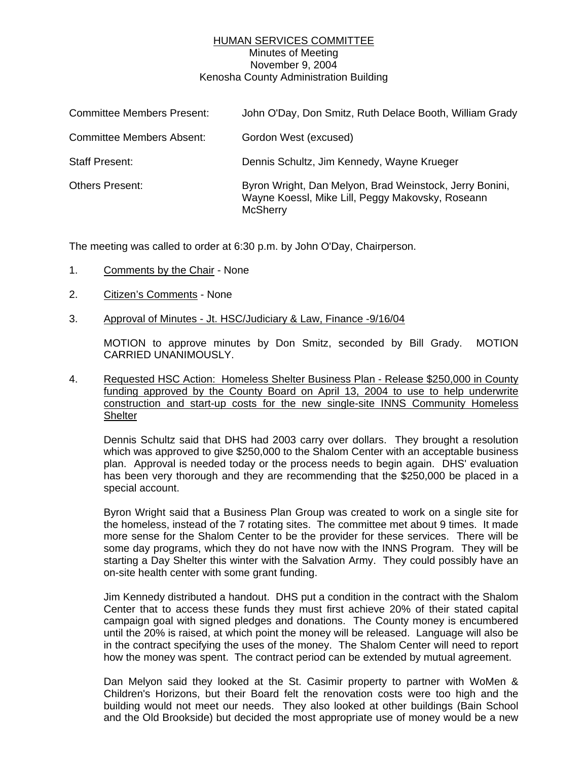## HUMAN SERVICES COMMITTEE Minutes of Meeting November 9, 2004 Kenosha County Administration Building

| <b>Committee Members Present:</b> | John O'Day, Don Smitz, Ruth Delace Booth, William Grady                                                                        |
|-----------------------------------|--------------------------------------------------------------------------------------------------------------------------------|
| <b>Committee Members Absent:</b>  | Gordon West (excused)                                                                                                          |
| <b>Staff Present:</b>             | Dennis Schultz, Jim Kennedy, Wayne Krueger                                                                                     |
| <b>Others Present:</b>            | Byron Wright, Dan Melyon, Brad Weinstock, Jerry Bonini,<br>Wayne Koessl, Mike Lill, Peggy Makovsky, Roseann<br><b>McSherry</b> |

The meeting was called to order at 6:30 p.m. by John O'Day, Chairperson.

- 1. Comments by the Chair None
- 2. Citizen's Comments None
- 3. Approval of Minutes Jt. HSC/Judiciary & Law, Finance -9/16/04

MOTION to approve minutes by Don Smitz, seconded by Bill Grady. MOTION CARRIED UNANIMOUSLY.

4. Requested HSC Action: Homeless Shelter Business Plan - Release \$250,000 in County funding approved by the County Board on April 13, 2004 to use to help underwrite construction and start-up costs for the new single-site INNS Community Homeless **Shelter** 

Dennis Schultz said that DHS had 2003 carry over dollars. They brought a resolution which was approved to give \$250,000 to the Shalom Center with an acceptable business plan. Approval is needed today or the process needs to begin again. DHS' evaluation has been very thorough and they are recommending that the \$250,000 be placed in a special account.

Byron Wright said that a Business Plan Group was created to work on a single site for the homeless, instead of the 7 rotating sites. The committee met about 9 times. It made more sense for the Shalom Center to be the provider for these services. There will be some day programs, which they do not have now with the INNS Program. They will be starting a Day Shelter this winter with the Salvation Army. They could possibly have an on-site health center with some grant funding.

Jim Kennedy distributed a handout. DHS put a condition in the contract with the Shalom Center that to access these funds they must first achieve 20% of their stated capital campaign goal with signed pledges and donations. The County money is encumbered until the 20% is raised, at which point the money will be released. Language will also be in the contract specifying the uses of the money. The Shalom Center will need to report how the money was spent. The contract period can be extended by mutual agreement.

Dan Melyon said they looked at the St. Casimir property to partner with WoMen & Children's Horizons, but their Board felt the renovation costs were too high and the building would not meet our needs. They also looked at other buildings (Bain School and the Old Brookside) but decided the most appropriate use of money would be a new